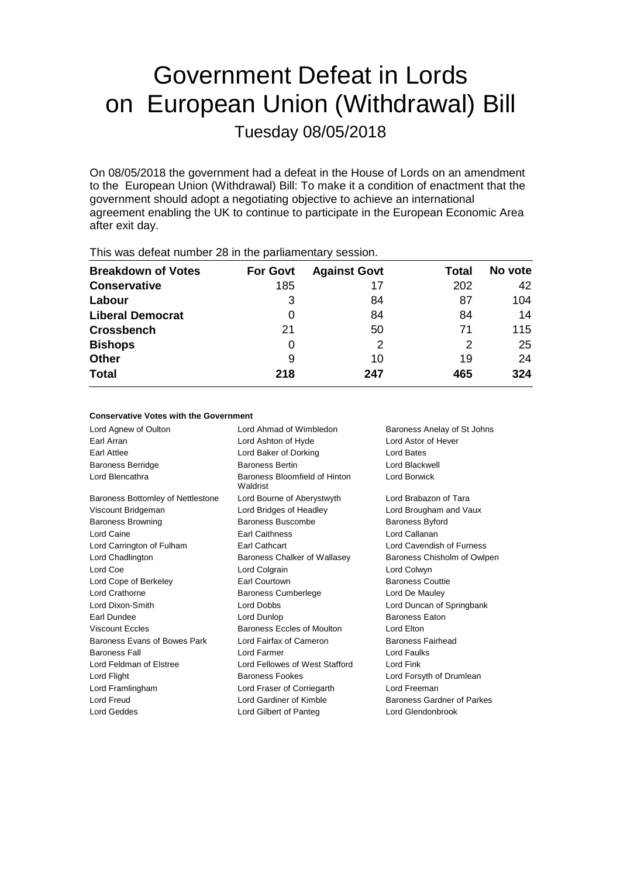# Government Defeat in Lords on European Union (Withdrawal) Bill Tuesday 08/05/2018

On 08/05/2018 the government had a defeat in the House of Lords on an amendment to the European Union (Withdrawal) Bill: To make it a condition of enactment that the government should adopt a negotiating objective to achieve an international agreement enabling the UK to continue to participate in the European Economic Area after exit day.

| <b>Breakdown of Votes</b> | <b>For Govt</b> | <b>Against Govt</b> | Total | No vote |
|---------------------------|-----------------|---------------------|-------|---------|
| <b>Conservative</b>       | 185             | 17                  | 202   | 42      |
| Labour                    | 3               | 84                  | 87    | 104     |
| <b>Liberal Democrat</b>   | 0               | 84                  | 84    | 14      |
| <b>Crossbench</b>         | 21              | 50                  | 71    | 115     |
| <b>Bishops</b>            | O               | 2                   | 2     | 25      |
| Other                     | 9               | 10                  | 19    | 24      |
| <b>Total</b>              | 218             | 247                 | 465   | 324     |
|                           |                 |                     |       |         |

This was defeat number 28 in the parliamentary session.

### **Conservative Votes with the Government**

| Lord Agnew of Oulton              | Lord Ahmad of Wimbledon                   | Baroness Anelay of St Johns |
|-----------------------------------|-------------------------------------------|-----------------------------|
| Farl Arran                        | Lord Ashton of Hyde                       | Lord Astor of Hever         |
| Earl Attlee                       | Lord Baker of Dorking                     | Lord Bates                  |
| <b>Baroness Berridge</b>          | <b>Baroness Bertin</b>                    | Lord Blackwell              |
| Lord Blencathra                   | Baroness Bloomfield of Hinton<br>Waldrist | Lord Borwick                |
| Baroness Bottomley of Nettlestone | Lord Bourne of Aberystwyth                | Lord Brabazon of Tara       |
| Viscount Bridgeman                | Lord Bridges of Headley                   | Lord Brougham and Vaux      |
| <b>Baroness Browning</b>          | Baroness Buscombe                         | <b>Baroness Byford</b>      |
| Lord Caine                        | <b>Earl Caithness</b>                     | Lord Callanan               |
| Lord Carrington of Fulham         | <b>Earl Cathcart</b>                      | Lord Cavendish of Furness   |
| Lord Chadlington                  | Baroness Chalker of Wallasey              | Baroness Chisholm of Owlpen |
| Lord Coe                          | Lord Colgrain                             | Lord Colwyn                 |
| Lord Cope of Berkeley             | <b>Earl Courtown</b>                      | <b>Baroness Couttie</b>     |
| Lord Crathorne                    | <b>Baroness Cumberlege</b>                | Lord De Mauley              |
| Lord Dixon-Smith                  | <b>Lord Dobbs</b>                         | Lord Duncan of Springbank   |
| Earl Dundee                       | Lord Dunlop                               | <b>Baroness Eaton</b>       |
| <b>Viscount Eccles</b>            | Baroness Eccles of Moulton                | Lord Elton                  |
| Baroness Evans of Bowes Park      | Lord Fairfax of Cameron                   | <b>Baroness Fairhead</b>    |
| <b>Baroness Fall</b>              | Lord Farmer                               | Lord Faulks                 |
| Lord Feldman of Elstree           | Lord Fellowes of West Stafford            | Lord Fink                   |
| Lord Flight                       | <b>Baroness Fookes</b>                    | Lord Forsyth of Drumlean    |
| Lord Framlingham                  | Lord Fraser of Corriegarth                | Lord Freeman                |
| Lord Freud                        | Lord Gardiner of Kimble                   | Baroness Gardner of Parkes  |
| Lord Geddes                       | Lord Gilbert of Panteg                    | Lord Glendonbrook           |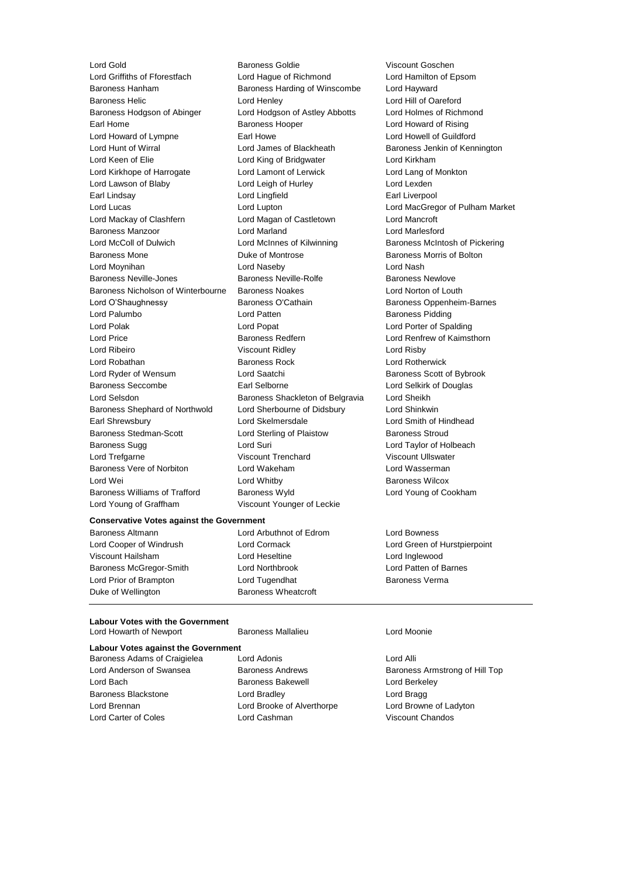Baroness Hanham Baroness Harding of Winscombe Lord Hayward Baroness Helic Lord Henley Lord Hill of Oareford Baroness Hodgson of Abinger Lord Hodgson of Astley Abbotts Lord Holmes of Richmond Earl Home **Baroness Hooper Baroness Hooper Lord Howard of Rising** Lord Howard of Lympne **Earl Howe Earl Howe Lord Howell of Guildford**<br>
Lord Hunt of Wirral **No. 2008** Lord James of Blackheath Baroness Jenkin of Keni Lord Hunt of Wirral Lord James of Blackheath Baroness Jenkin of Kennington Lord Keen of Elie Lord King of Bridgwater Lord Kirkham Lord Kirkhope of Harrogate Lord Lamont of Lerwick Lord Lang of Monkton Lord Lawson of Blaby Lord Leigh of Hurley Lord Lexden Earl Lindsay **Earl Lingfield** Earl Liverpool Lord Lucas Lord Lupton Lord MacGregor of Pulham Market Lord Mackay of Clashfern Lord Magan of Castletown Lord Mancroft Baroness Manzoor Lord Marland Lord Marlesford Lord McColl of Dulwich **Lord McInnes of Kilwinning** Baroness McIntosh of Pickering Baroness Mone **Duke of Montrose Baroness Morris of Bolton** Lord Moynihan Lord Naseby Lord Nash Baroness Neville-Jones **Baroness Neville-Rolfe** Baroness Newlove Baroness Nicholson of Winterbourne Baroness Noakes Lord Norton of Louth Lord O'Shaughnessy **Baroness O'Cathain** Baroness Oppenheim-Barnes Lord Palumbo **Lord Patten** Lord Patten **Baroness Pidding** Lord Polak Lord Popat Lord Porter of Spalding Lord Price **Baroness Redfern Baroness Redfern Lord Renfrew of Kaimsthorn** Lord Ribeiro Viscount Ridley Lord Risby Lord Robathan Baroness Rock Lord Rotherwick Lord Ryder of Wensum **Lord Saatchi** Baroness Scott of Bybrook Baroness Seccombe **Earl Selborne** Earl Selborne Lord Selkirk of Douglas Lord Selsdon Baroness Shackleton of Belgravia Lord Sheikh Baroness Shephard of Northwold Lord Sherbourne of Didsbury Lord Shinkwin Earl Shrewsbury Lord Skelmersdale Lord Smith of Hindhead Baroness Stedman-Scott Lord Sterling of Plaistow Baroness Stroud Baroness Sugg **Lord Suri Lord Suri Lord Taylor of Holbeach** Lord Trefgarne Viscount Trenchard Viscount Ullswater Baroness Vere of Norbiton Lord Wakeham Lord Wasserman Lord Wei Lord Whitby Baroness Wilcox Baroness Williams of Trafford Baroness Wyld Lord Young of Cookham Lord Young of Graffham Viscount Younger of Leckie

Lord Gold Baroness Goldie Viscount Goschen<br>
Lord Griffiths of Fforestfach Lord Haque of Richmond Lord Hamilton of E Lord Hague of Richmond Lord Hamilton of Epsom

### **Conservative Votes against the Government**

Viscount Hailsham Lord Heseltine Lord Inglewood Baroness McGregor-Smith Lord Northbrook Lord Patten of Barnes Lord Prior of Brampton Lord Tugendhat Baroness Verma Duke of Wellington Baroness Wheatcroft

Baroness Altmann Lord Arbuthnot of Edrom Lord Bowness

Lord Cooper of Windrush Lord Cormack Lord Green of Hurstpierpoint

### **Labour Votes with the Government** Lord Howarth of Newport Baroness Mallalieu Lord Moonie

**Labour Votes against the Government** Baroness Adams of Craigielea Lord Adonis Lord Alli Lord Anderson of Swansea Baroness Andrews Baroness Armstrong of Hill Top Lord Bach **Baroness Bakewell** Lord Berkeley Baroness Blackstone Lord Bradley Lord Bragg Lord Brennan Lord Brooke of Alverthorpe Lord Browne of Ladyton Lord Carter of Coles Lord Cashman Viscount Chandos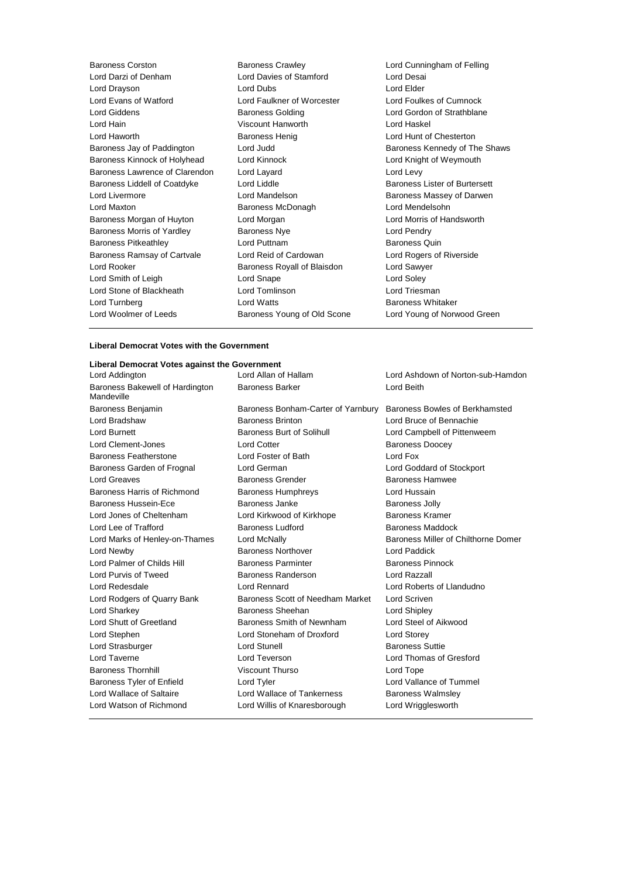| Baroness Corston                  | <b>Baroness Crawley</b>     | Lord Cunningham of Felling    |
|-----------------------------------|-----------------------------|-------------------------------|
| Lord Darzi of Denham              | Lord Davies of Stamford     | Lord Desai                    |
| Lord Drayson                      | Lord Dubs                   | Lord Elder                    |
| Lord Evans of Watford             | Lord Faulkner of Worcester  | Lord Foulkes of Cumnock       |
| Lord Giddens                      | <b>Baroness Golding</b>     | Lord Gordon of Strathblane    |
| Lord Hain                         | Viscount Hanworth           | Lord Haskel                   |
| Lord Haworth                      | <b>Baroness Henig</b>       | Lord Hunt of Chesterton       |
| Baroness Jay of Paddington        | Lord Judd                   | Baroness Kennedy of The Shaws |
| Baroness Kinnock of Holyhead      | Lord Kinnock                | Lord Knight of Weymouth       |
| Baroness Lawrence of Clarendon    | Lord Layard                 | Lord Levy                     |
| Baroness Liddell of Coatdyke      | Lord Liddle                 | Baroness Lister of Burtersett |
| Lord Livermore                    | Lord Mandelson              | Baroness Massey of Darwen     |
| Lord Maxton                       | Baroness McDonagh           | Lord Mendelsohn               |
| Baroness Morgan of Huyton         | Lord Morgan                 | Lord Morris of Handsworth     |
| <b>Baroness Morris of Yardley</b> | <b>Baroness Nye</b>         | Lord Pendry                   |
| Baroness Pitkeathley              | Lord Puttnam                | <b>Baroness Quin</b>          |
| Baroness Ramsay of Cartvale       | Lord Reid of Cardowan       | Lord Rogers of Riverside      |
| Lord Rooker                       | Baroness Royall of Blaisdon | Lord Sawyer                   |
| Lord Smith of Leigh               | Lord Snape                  | Lord Soley                    |
| Lord Stone of Blackheath          | Lord Tomlinson              | Lord Triesman                 |
| Lord Turnberg                     | <b>Lord Watts</b>           | <b>Baroness Whitaker</b>      |
| Lord Woolmer of Leeds             | Baroness Young of Old Scone | Lord Young of Norwood Green   |
|                                   |                             |                               |

# **Liberal Democrat Votes with the Government**

### **Liberal Democrat Votes against the Government**

| Lord Addington                                | Lord Allan of Hallam               | Lord Ashdown of Norton-sub-Hamdon   |
|-----------------------------------------------|------------------------------------|-------------------------------------|
| Baroness Bakewell of Hardington<br>Mandeville | <b>Baroness Barker</b>             | Lord Beith                          |
| Baroness Benjamin                             | Baroness Bonham-Carter of Yarnbury | Baroness Bowles of Berkhamsted      |
| Lord Bradshaw                                 | <b>Baroness Brinton</b>            | Lord Bruce of Bennachie             |
| Lord Burnett                                  | <b>Baroness Burt of Solihull</b>   | Lord Campbell of Pittenweem         |
| Lord Clement-Jones                            | <b>Lord Cotter</b>                 | <b>Baroness Doocey</b>              |
| <b>Baroness Featherstone</b>                  | Lord Foster of Bath                | Lord Fox                            |
| Baroness Garden of Frognal                    | Lord German                        | Lord Goddard of Stockport           |
| Lord Greaves                                  | <b>Baroness Grender</b>            | <b>Baroness Hamwee</b>              |
| Baroness Harris of Richmond                   | <b>Baroness Humphreys</b>          | Lord Hussain                        |
| Baroness Hussein-Ece                          | Baroness Janke                     | <b>Baroness Jolly</b>               |
| Lord Jones of Cheltenham                      | Lord Kirkwood of Kirkhope          | <b>Baroness Kramer</b>              |
| Lord Lee of Trafford                          | Baroness Ludford                   | Baroness Maddock                    |
| Lord Marks of Henley-on-Thames                | Lord McNally                       | Baroness Miller of Chilthorne Domer |
| Lord Newby                                    | Baroness Northover                 | Lord Paddick                        |
| Lord Palmer of Childs Hill                    | <b>Baroness Parminter</b>          | <b>Baroness Pinnock</b>             |
| Lord Purvis of Tweed                          | Baroness Randerson                 | Lord Razzall                        |
| Lord Redesdale                                | Lord Rennard                       | Lord Roberts of Llandudno           |
| Lord Rodgers of Quarry Bank                   | Baroness Scott of Needham Market   | Lord Scriven                        |
| Lord Sharkey                                  | Baroness Sheehan                   | Lord Shipley                        |
| Lord Shutt of Greetland                       | Baroness Smith of Newnham          | Lord Steel of Aikwood               |
| Lord Stephen                                  | Lord Stoneham of Droxford          | <b>Lord Storey</b>                  |
| Lord Strasburger                              | Lord Stunell                       | <b>Baroness Suttie</b>              |
| Lord Taverne                                  | Lord Teverson                      | Lord Thomas of Gresford             |
| <b>Baroness Thornhill</b>                     | Viscount Thurso                    | Lord Tope                           |
| Baroness Tyler of Enfield                     | Lord Tyler                         | Lord Vallance of Tummel             |
| Lord Wallace of Saltaire                      | Lord Wallace of Tankerness         | <b>Baroness Walmsley</b>            |
| Lord Watson of Richmond                       | Lord Willis of Knaresborough       | Lord Wrigglesworth                  |
|                                               |                                    |                                     |